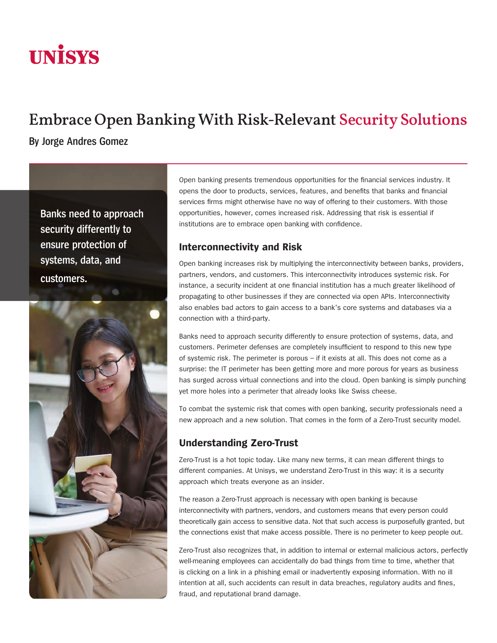# **UNISYS**

# Embrace Open Banking With Risk-Relevant Security Solutions

**By Jorge Andres Gomez**

**Banks need to approach security differently to ensure protection of systems, data, and customers.**



Open banking presents tremendous opportunities for the financial services industry. It opens the door to products, services, features, and benefits that banks and financial services firms might otherwise have no way of offering to their customers. With those opportunities, however, comes increased risk. Addressing that risk is essential if institutions are to embrace open banking with confidence.

# **Interconnectivity and Risk**

Open banking increases risk by multiplying the interconnectivity between banks, providers, partners, vendors, and customers. This interconnectivity introduces systemic risk. For instance, a security incident at one financial institution has a much greater likelihood of propagating to other businesses if they are connected via open APIs. Interconnectivity also enables bad actors to gain access to a bank's core systems and databases via a connection with a third-party.

Banks need to approach security differently to ensure protection of systems, data, and customers. Perimeter defenses are completely insufficient to respond to this new type of systemic risk. The perimeter is porous – if it exists at all. This does not come as a surprise: the IT perimeter has been getting more and more porous for years as business has surged across virtual connections and into the cloud. Open banking is simply punching yet more holes into a perimeter that already looks like Swiss cheese.

To combat the systemic risk that comes with open banking, security professionals need a new approach and a new solution. That comes in the form of a Zero-Trust security model.

# **Understanding Zero-Trust**

Zero-Trust is a hot topic today. Like many new terms, it can mean different things to different companies. At Unisys, we understand Zero-Trust in this way: it is a security approach which treats everyone as an insider.

The reason a Zero-Trust approach is necessary with open banking is because interconnectivity with partners, vendors, and customers means that every person could theoretically gain access to sensitive data. Not that such access is purposefully granted, but the connections exist that make access possible. There is no perimeter to keep people out.

Zero-Trust also recognizes that, in addition to internal or external malicious actors, perfectly well-meaning employees can accidentally do bad things from time to time, whether that is clicking on a link in a phishing email or inadvertently exposing information. With no ill intention at all, such accidents can result in data breaches, regulatory audits and fines, fraud, and reputational brand damage.